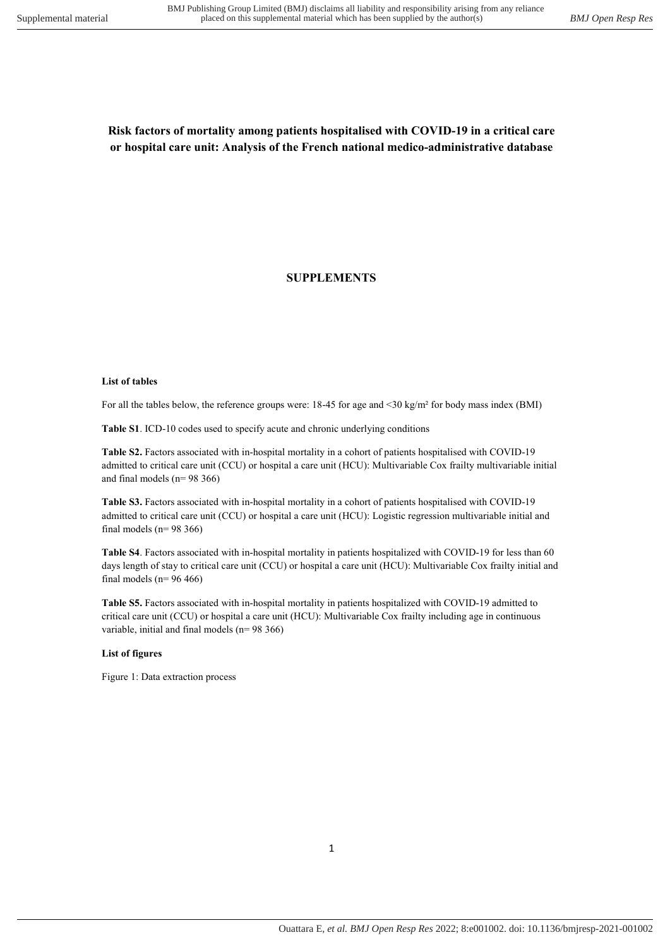# Risk factors of mortality among patients hospitalised with COVID-19 in a critical care or hospital care unit: Analysis of the French national medico-administrative database

## SUPPLEMENTS

#### List of tables

For all the tables below, the reference groups were: 18-45 for age and <30 kg/m<sup>2</sup> for body mass index (BMI)

Table S1. ICD-10 codes used to specify acute and chronic underlying conditions

Table S2. Factors associated with in-hospital mortality in a cohort of patients hospitalised with COVID-19 admitted to critical care unit (CCU) or hospital a care unit (HCU): Multivariable Cox frailty multivariable initial and final models (n= 98 366)

Table S3. Factors associated with in-hospital mortality in a cohort of patients hospitalised with COVID-19 admitted to critical care unit (CCU) or hospital a care unit (HCU): Logistic regression multivariable initial and final models ( $n= 98$  366)

Table S4. Factors associated with in-hospital mortality in patients hospitalized with COVID-19 for less than 60 days length of stay to critical care unit (CCU) or hospital a care unit (HCU): Multivariable Cox frailty initial and final models ( $n= 96 466$ )

Table S5. Factors associated with in-hospital mortality in patients hospitalized with COVID-19 admitted to critical care unit (CCU) or hospital a care unit (HCU): Multivariable Cox frailty including age in continuous variable, initial and final models (n= 98 366)

#### List of figures

Figure 1: Data extraction process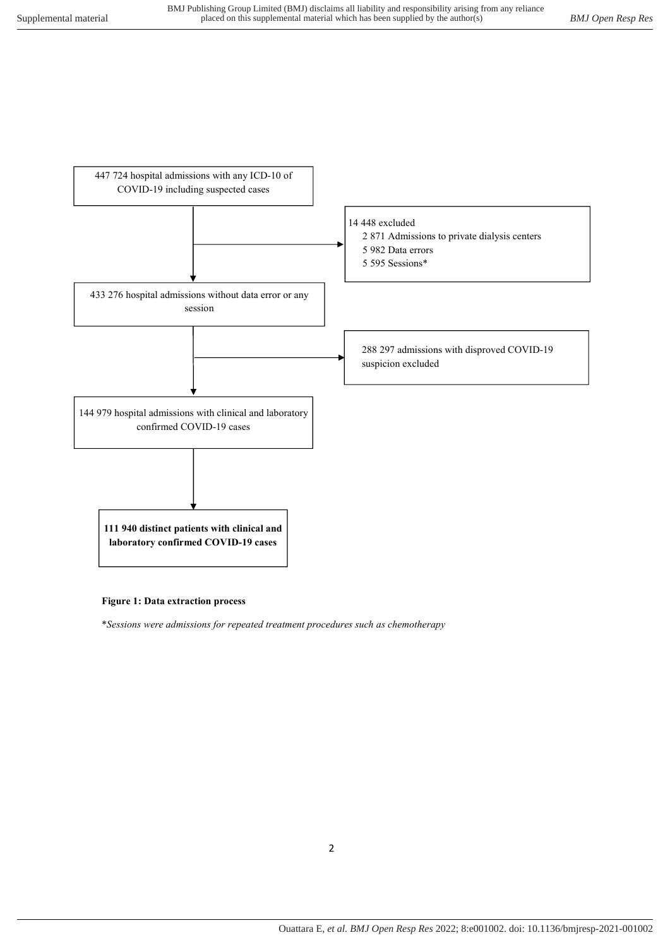

#### Figure 1: Data extraction process

\*Sessions were admissions for repeated treatment procedures such as chemotherapy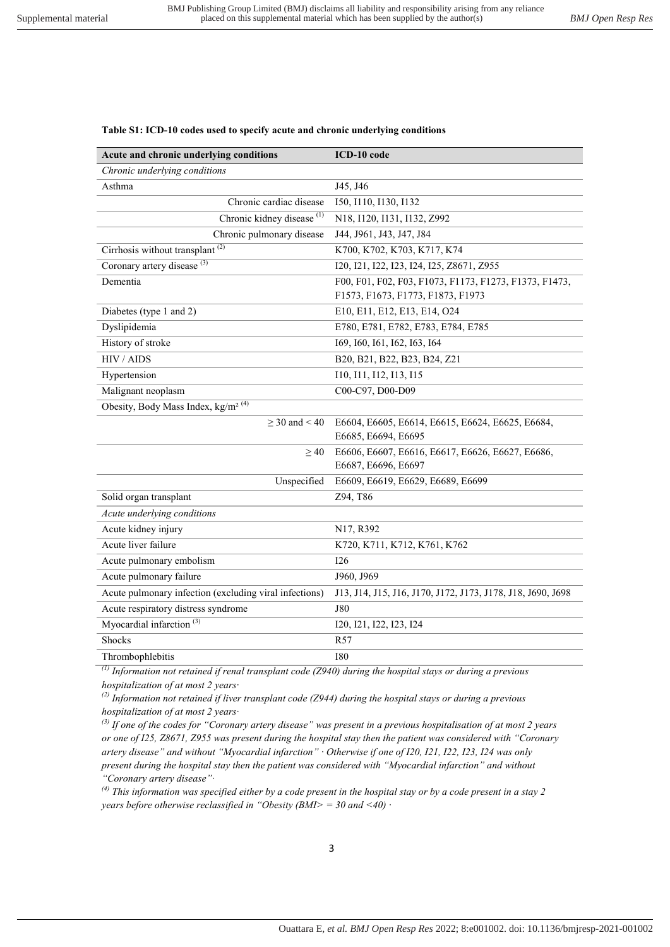#### Table S1: ICD-10 codes used to specify acute and chronic underlying conditions

| Acute and chronic underlying conditions                | ICD-10 code                                                 |  |
|--------------------------------------------------------|-------------------------------------------------------------|--|
| Chronic underlying conditions                          |                                                             |  |
| Asthma                                                 | J45, J46                                                    |  |
| Chronic cardiac disease                                | 150, 1110, 1130, 1132                                       |  |
| Chronic kidney disease <sup>(1)</sup>                  | N18, I120, I131, I132, Z992                                 |  |
| Chronic pulmonary disease                              | J44, J961, J43, J47, J84                                    |  |
| Cirrhosis without transplant <sup>(2)</sup>            | K700, K702, K703, K717, K74                                 |  |
| Coronary artery disease <sup>(3)</sup>                 | I20, I21, I22, I23, I24, I25, Z8671, Z955                   |  |
| Dementia                                               | F00, F01, F02, F03, F1073, F1173, F1273, F1373, F1473,      |  |
|                                                        | F1573, F1673, F1773, F1873, F1973                           |  |
| Diabetes (type 1 and 2)                                | E10, E11, E12, E13, E14, O24                                |  |
| Dyslipidemia                                           | E780, E781, E782, E783, E784, E785                          |  |
| History of stroke                                      | 169, 160, 161, 162, 163, 164                                |  |
| HIV / AIDS                                             | B20, B21, B22, B23, B24, Z21                                |  |
| Hypertension                                           | 110, 111, 112, 113, 115                                     |  |
| Malignant neoplasm                                     | C00-C97, D00-D09                                            |  |
| Obesity, Body Mass Index, kg/m <sup>2 (4)</sup>        |                                                             |  |
| $>$ 30 and $<$ 40                                      | E6604, E6605, E6614, E6615, E6624, E6625, E6684,            |  |
|                                                        | E6685, E6694, E6695                                         |  |
| >40                                                    | E6606, E6607, E6616, E6617, E6626, E6627, E6686,            |  |
|                                                        | E6687, E6696, E6697                                         |  |
| Unspecified                                            | E6609, E6619, E6629, E6689, E6699                           |  |
| Solid organ transplant                                 | Z94, T86                                                    |  |
| Acute underlying conditions                            |                                                             |  |
| Acute kidney injury                                    | N17, R392                                                   |  |
| Acute liver failure                                    | K720, K711, K712, K761, K762                                |  |
| Acute pulmonary embolism                               | 126                                                         |  |
| Acute pulmonary failure                                | J960, J969                                                  |  |
| Acute pulmonary infection (excluding viral infections) | J13, J14, J15, J16, J170, J172, J173, J178, J18, J690, J698 |  |
| Acute respiratory distress syndrome                    | J80                                                         |  |
| Myocardial infarction <sup>(3)</sup>                   | 120, 121, 122, 123, 124                                     |  |
| Shocks                                                 | R57                                                         |  |
| Thrombophlebitis                                       | <b>I80</b>                                                  |  |

 $<sup>(1)</sup>$  Information not retained if renal transplant code (Z940) during the hospital stays or during a previous</sup> hospitalization of at most 2 years·

<sup>(2)</sup> Information not retained if liver transplant code (Z944) during the hospital stays or during a previous hospitalization of at most 2 years·

 $^{(3)}$  If one of the codes for "Coronary artery disease" was present in a previous hospitalisation of at most 2 years or one of I25, Z8671, Z955 was present during the hospital stay then the patient was considered with "Coronary artery disease" and without "Myocardial infarction" · Otherwise if one of I20, I21, I22, I23, I24 was only present during the hospital stay then the patient was considered with "Myocardial infarction" and without "Coronary artery disease"·

 $^{(4)}$  This information was specified either by a code present in the hospital stay or by a code present in a stay 2 years before otherwise reclassified in "Obesity  $(BMI$  = 30 and <40)  $\cdot$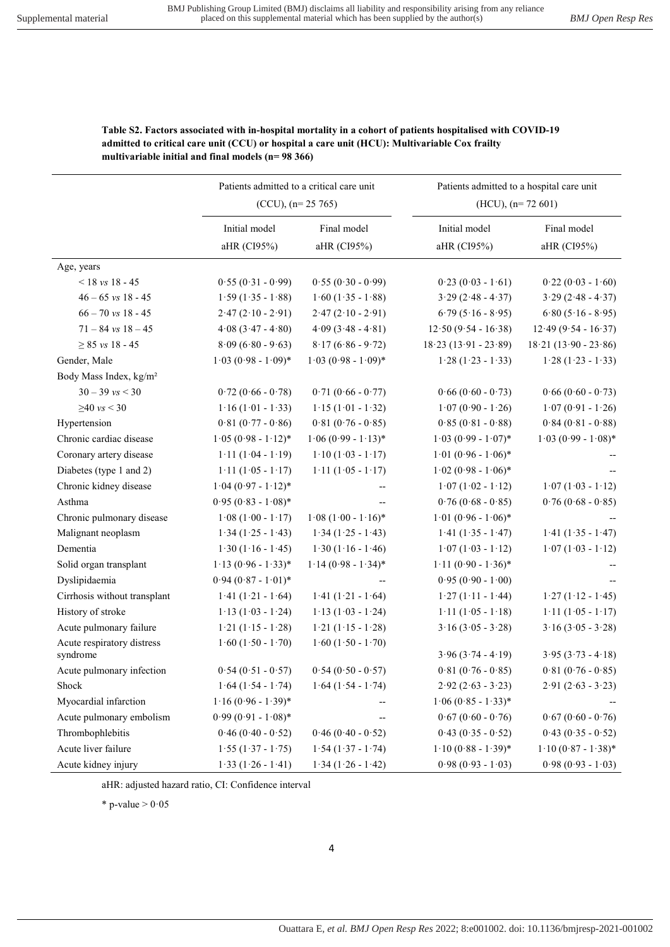Patients admitted to a hospital care unit

|                                        | $(CCU), (n=25 765)$          |                            | $(HCU)$ , $(n= 72, 601)$     |                            |
|----------------------------------------|------------------------------|----------------------------|------------------------------|----------------------------|
|                                        | Initial model<br>aHR (CI95%) | Final model<br>aHR (CI95%) | Initial model<br>aHR (CI95%) | Final model<br>aHR (CI95%) |
| Age, years                             |                              |                            |                              |                            |
| $<$ 18 vs 18 - 45                      | $0.55(0.31 - 0.99)$          | $0.55(0.30 - 0.99)$        | $0.23(0.03 - 1.61)$          | $0.22(0.03 - 1.60)$        |
| $46 - 65$ vs $18 - 45$                 | $1.59(1.35 - 1.88)$          | $1.60(1.35 - 1.88)$        | $3.29(2.48 - 4.37)$          | $3.29(2.48 - 4.37)$        |
| $66 - 70$ vs 18 - 45                   | $2.47(2.10 - 2.91)$          | $2.47(2.10 - 2.91)$        | $6.79(5.16 - 8.95)$          | $6.80(5.16 - 8.95)$        |
| $71 - 84$ vs $18 - 45$                 | $4.08(3.47 - 4.80)$          | $4.09(3.48 - 4.81)$        | $12.50(9.54 - 16.38)$        | $12.49(9.54 - 16.37)$      |
| $\geq 85$ vs 18 - 45                   | $8.09(6.80 - 9.63)$          | $8.17(6.86 - 9.72)$        | $18.23(13.91 - 23.89)$       | $18.21(13.90 - 23.86)$     |
| Gender, Male                           | $1.03 (0.98 - 1.09)$ *       | $1.03 (0.98 - 1.09)^*$     | $1.28(1.23 - 1.33)$          | $1.28(1.23 - 1.33)$        |
| Body Mass Index, kg/m <sup>2</sup>     |                              |                            |                              |                            |
| $30 - 39$ vs $< 30$                    | $0.72(0.66 - 0.78)$          | $0.71(0.66 - 0.77)$        | $0.66(0.60 - 0.73)$          | $0.66(0.60 - 0.73)$        |
| $≥40$ vs < 30                          | $1.16(1.01 - 1.33)$          | $1.15(1.01 - 1.32)$        | $1.07(0.90 - 1.26)$          | $1.07(0.91 - 1.26)$        |
| Hypertension                           | $0.81(0.77 - 0.86)$          | $0.81(0.76 - 0.85)$        | $0.85(0.81 - 0.88)$          | $0.84(0.81 - 0.88)$        |
| Chronic cardiac disease                | $1.05 (0.98 - 1.12)^*$       | $1.06 (0.99 - 1.13)^*$     | $1.03 (0.99 - 1.07)^*$       | $1.03 (0.99 - 1.08)^*$     |
| Coronary artery disease                | $1.11(1.04 - 1.19)$          | $1.10(1.03 - 1.17)$        | $1.01 (0.96 - 1.06)^*$       |                            |
| Diabetes (type 1 and 2)                | $1.11(1.05 - 1.17)$          | $1.11(1.05 - 1.17)$        | $1.02 (0.98 - 1.06)^*$       |                            |
| Chronic kidney disease                 | $1.04 (0.97 - 1.12)^*$       |                            | $1.07(1.02 - 1.12)$          | $1.07(1.03 - 1.12)$        |
| Asthma                                 | $0.95(0.83 - 1.08)$ *        |                            | $0.76(0.68 - 0.85)$          | $0.76(0.68 - 0.85)$        |
| Chronic pulmonary disease              | $1.08(1.00 - 1.17)$          | $1.08 (1.00 - 1.16)^*$     | $1.01 (0.96 - 1.06)^*$       |                            |
| Malignant neoplasm                     | $1.34(1.25 - 1.43)$          | $1.34(1.25 - 1.43)$        | $1.41(1.35 - 1.47)$          | $1.41(1.35 - 1.47)$        |
| Dementia                               | $1.30(1.16 - 1.45)$          | $1.30(1.16 - 1.46)$        | $1.07(1.03 - 1.12)$          | $1.07(1.03 - 1.12)$        |
| Solid organ transplant                 | $1.13(0.96 - 1.33)*$         | $1.14 (0.98 - 1.34)^*$     | $1.11(0.90 - 1.36)$ *        |                            |
| Dyslipidaemia                          | $0.94 (0.87 - 1.01)^*$       | $-$                        | $0.95(0.90 - 1.00)$          |                            |
| Cirrhosis without transplant           | $1.41(1.21 - 1.64)$          | $1.41 (1.21 - 1.64)$       | $1.27(1.11 - 1.44)$          | $1.27(1.12 - 1.45)$        |
| History of stroke                      | $1.13(1.03 - 1.24)$          | $1.13(1.03 - 1.24)$        | $1.11(1.05 - 1.18)$          | $1.11(1.05 - 1.17)$        |
| Acute pulmonary failure                | $1.21 (1.15 - 1.28)$         | $1.21 (1.15 - 1.28)$       | $3.16$ $(3.05 - 3.28)$       | $3.16$ $(3.05 - 3.28)$     |
| Acute respiratory distress<br>syndrome | $1.60(1.50 - 1.70)$          | $1.60(1.50 - 1.70)$        | $3.96 (3.74 - 4.19)$         | $3.95(3.73 - 4.18)$        |
| Acute pulmonary infection              | $0.54(0.51 - 0.57)$          | $0.54(0.50 - 0.57)$        | $0.81 (0.76 - 0.85)$         | $0.81 (0.76 - 0.85)$       |
| Shock                                  | $1.64(1.54 - 1.74)$          | $1.64(1.54 - 1.74)$        | $2.92(2.63 - 3.23)$          | $2.91(2.63 - 3.23)$        |
| Myocardial infarction                  | $1.16 (0.96 - 1.39)^*$       | --                         | $1.06 (0.85 - 1.33)^*$       |                            |
| Acute pulmonary embolism               | $0.99(0.91 - 1.08)$ *        | $\overline{a}$             | $0.67(0.60 - 0.76)$          | $0.67(0.60 - 0.76)$        |
| Thrombophlebitis                       | $0.46(0.40 - 0.52)$          | $0.46(0.40 - 0.52)$        | $0.43(0.35 - 0.52)$          | $0.43(0.35 - 0.52)$        |
| Acute liver failure                    | $1.55(1.37 - 1.75)$          | $1.54(1.37 - 1.74)$        | $1.10 (0.88 - 1.39)^*$       | $1.10 (0.87 - 1.38)^*$     |
| Acute kidney injury                    | $1.33(1.26 - 1.41)$          | $1.34(1.26 - 1.42)$        | $0.98(0.93 - 1.03)$          | $0.98(0.93 - 1.03)$        |

### Table S2. Factors associated with in-hospital mortality in a cohort of patients hospitalised with COVID-19 admitted to critical care unit (CCU) or hospital a care unit (HCU): Multivariable Cox frailty multivariable initial and final models (n= 98 366)

Patients admitted to a critical care unit

aHR: adjusted hazard ratio, CI: Confidence interval

\* p-value  $> 0.05$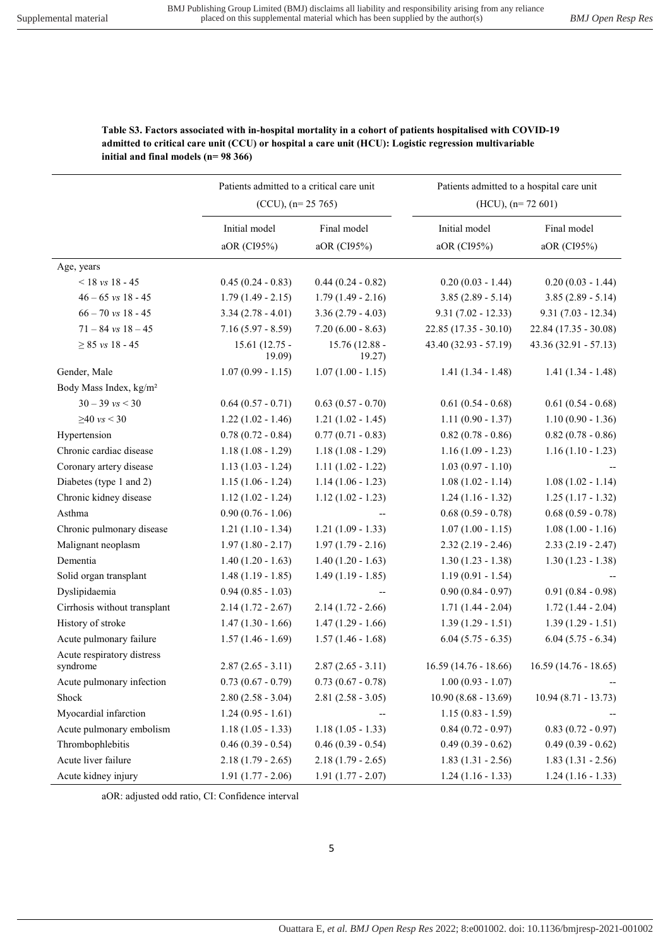|                                    | Patients admitted to a critical care unit<br>$(CCU), (n=25 765)$ |                          | Patients admitted to a hospital care unit<br>$(HCU)$ , $(n=72,601)$ |                        |  |
|------------------------------------|------------------------------------------------------------------|--------------------------|---------------------------------------------------------------------|------------------------|--|
|                                    |                                                                  |                          |                                                                     |                        |  |
|                                    | Initial model                                                    | Final model              | Initial model                                                       | Final model            |  |
|                                    | aOR (CI95%)                                                      | aOR (CI95%)              | aOR (CI95%)                                                         | aOR (CI95%)            |  |
| Age, years                         |                                                                  |                          |                                                                     |                        |  |
| $< 18$ vs 18 - 45                  | $0.45(0.24 - 0.83)$                                              | $0.44(0.24 - 0.82)$      | $0.20(0.03 - 1.44)$                                                 | $0.20(0.03 - 1.44)$    |  |
| $46 - 65$ vs $18 - 45$             | $1.79(1.49 - 2.15)$                                              | $1.79(1.49 - 2.16)$      | $3.85(2.89 - 5.14)$                                                 | $3.85(2.89 - 5.14)$    |  |
| $66 - 70$ vs 18 - 45               | $3.34(2.78 - 4.01)$                                              | $3.36(2.79 - 4.03)$      | $9.31(7.02 - 12.33)$                                                | $9.31(7.03 - 12.34)$   |  |
| $71 - 84$ vs $18 - 45$             | $7.16(5.97 - 8.59)$                                              | $7.20(6.00 - 8.63)$      | $22.85(17.35 - 30.10)$                                              | $22.84(17.35 - 30.08)$ |  |
| $\geq 85$ vs 18 - 45               | $15.61(12.75 -$<br>19.09                                         | 15.76 (12.88 -<br>19.27) | 43.40 (32.93 - 57.19)                                               | $43.36(32.91 - 57.13)$ |  |
| Gender, Male                       | $1.07(0.99 - 1.15)$                                              | $1.07(1.00 - 1.15)$      | $1.41(1.34 - 1.48)$                                                 | $1.41(1.34 - 1.48)$    |  |
| Body Mass Index, kg/m <sup>2</sup> |                                                                  |                          |                                                                     |                        |  |
| $30 - 39$ vs $< 30$                | $0.64(0.57 - 0.71)$                                              | $0.63(0.57 - 0.70)$      | $0.61(0.54 - 0.68)$                                                 | $0.61(0.54 - 0.68)$    |  |
| $≥40$ vs < 30                      | $1.22(1.02 - 1.46)$                                              | $1.21(1.02 - 1.45)$      | $1.11(0.90 - 1.37)$                                                 | $1.10(0.90 - 1.36)$    |  |
| Hypertension                       | $0.78(0.72 - 0.84)$                                              | $0.77(0.71 - 0.83)$      | $0.82(0.78 - 0.86)$                                                 | $0.82(0.78 - 0.86)$    |  |
| Chronic cardiac disease            | $1.18(1.08 - 1.29)$                                              | $1.18(1.08 - 1.29)$      | $1.16(1.09 - 1.23)$                                                 | $1.16(1.10 - 1.23)$    |  |
| Coronary artery disease            | $1.13(1.03 - 1.24)$                                              | $1.11(1.02 - 1.22)$      | $1.03(0.97 - 1.10)$                                                 |                        |  |
| Diabetes (type 1 and 2)            | $1.15(1.06 - 1.24)$                                              | $1.14(1.06 - 1.23)$      | $1.08(1.02 - 1.14)$                                                 | $1.08(1.02 - 1.14)$    |  |
| Chronic kidney disease             | $1.12(1.02 - 1.24)$                                              | $1.12(1.02 - 1.23)$      | $1.24(1.16 - 1.32)$                                                 | $1.25(1.17 - 1.32)$    |  |
| Asthma                             | $0.90(0.76 - 1.06)$                                              |                          | $0.68(0.59 - 0.78)$                                                 | $0.68$ $(0.59 - 0.78)$ |  |
| Chronic pulmonary disease          | $1.21(1.10 - 1.34)$                                              | $1.21(1.09 - 1.33)$      | $1.07(1.00 - 1.15)$                                                 | $1.08(1.00 - 1.16)$    |  |
| Malignant neoplasm                 | $1.97(1.80 - 2.17)$                                              | $1.97(1.79 - 2.16)$      | $2.32(2.19 - 2.46)$                                                 | $2.33(2.19 - 2.47)$    |  |
| Dementia                           | $1.40(1.20 - 1.63)$                                              | $1.40(1.20 - 1.63)$      | $1.30(1.23 - 1.38)$                                                 | $1.30(1.23 - 1.38)$    |  |
| Solid organ transplant             | $1.48(1.19 - 1.85)$                                              | $1.49(1.19 - 1.85)$      | $1.19(0.91 - 1.54)$                                                 |                        |  |
| Dyslipidaemia                      | $0.94(0.85 - 1.03)$                                              |                          | $0.90(0.84 - 0.97)$                                                 | $0.91(0.84 - 0.98)$    |  |
| Cirrhosis without transplant       | $2.14(1.72 - 2.67)$                                              | $2.14(1.72 - 2.66)$      | $1.71(1.44 - 2.04)$                                                 | $1.72(1.44 - 2.04)$    |  |
| History of stroke                  | $1.47(1.30 - 1.66)$                                              | $1.47(1.29 - 1.66)$      | $1.39(1.29 - 1.51)$                                                 | $1.39(1.29 - 1.51)$    |  |
| Acute pulmonary failure            | $1.57(1.46 - 1.69)$                                              | $1.57(1.46 - 1.68)$      | $6.04(5.75 - 6.35)$                                                 | $6.04(5.75 - 6.34)$    |  |
| Acute respiratory distress         |                                                                  |                          |                                                                     |                        |  |
| syndrome                           | $2.87(2.65 - 3.11)$                                              | $2.87(2.65 - 3.11)$      | $16.59(14.76 - 18.66)$                                              | $16.59(14.76 - 18.65)$ |  |
| Acute pulmonary infection          | $0.73(0.67 - 0.79)$                                              | $0.73(0.67 - 0.78)$      | $1.00(0.93 - 1.07)$                                                 |                        |  |
| Shock                              | $2.80(2.58 - 3.04)$                                              | $2.81(2.58 - 3.05)$      | $10.90(8.68 - 13.69)$                                               | $10.94(8.71 - 13.73)$  |  |
| Myocardial infarction              | $1.24(0.95 - 1.61)$                                              |                          | $1.15(0.83 - 1.59)$                                                 |                        |  |
| Acute pulmonary embolism           | $1.18(1.05 - 1.33)$                                              | $1.18(1.05 - 1.33)$      | $0.84(0.72 - 0.97)$                                                 | $0.83(0.72 - 0.97)$    |  |
| Thrombophlebitis                   | $0.46(0.39 - 0.54)$                                              | $0.46(0.39 - 0.54)$      | $0.49(0.39 - 0.62)$                                                 | $0.49(0.39 - 0.62)$    |  |
| Acute liver failure                | $2.18(1.79 - 2.65)$                                              | $2.18(1.79 - 2.65)$      | $1.83(1.31 - 2.56)$                                                 | $1.83(1.31 - 2.56)$    |  |
| Acute kidney injury                | $1.91(1.77 - 2.06)$                                              | $1.91(1.77 - 2.07)$      | $1.24(1.16 - 1.33)$                                                 | $1.24(1.16 - 1.33)$    |  |

Table S3. Factors associated with in-hospital mortality in a cohort of patients hospitalised with COVID-19 admitted to critical care unit (CCU) or hospital a care unit (HCU): Logistic regression multivariable initial and final models (n= 98 366)

aOR: adjusted odd ratio, CI: Confidence interval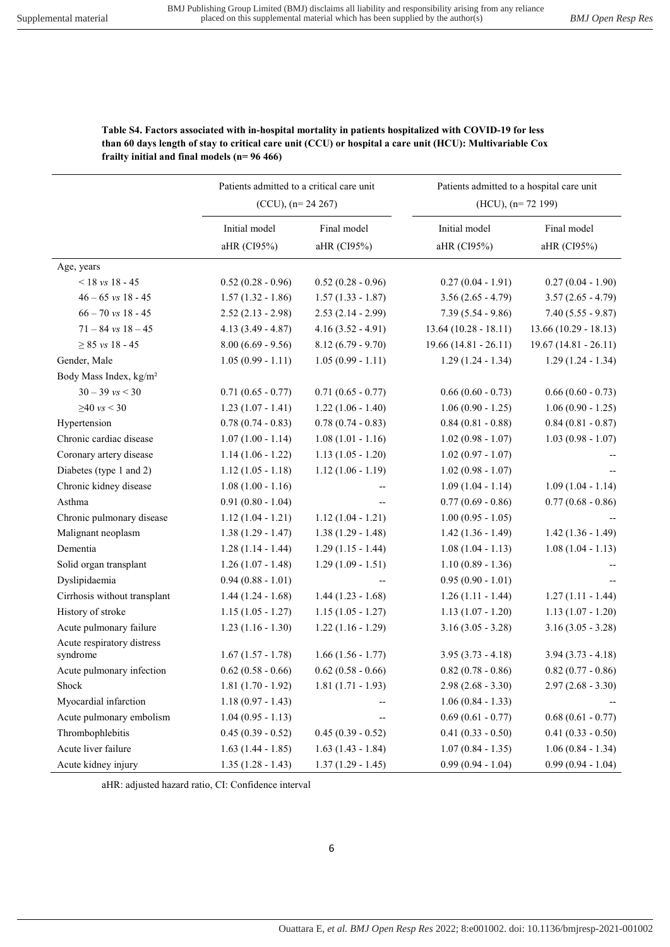|                                    | Patients admitted to a critical care unit<br>$(CCU)$ , $(n=24\ 267)$ |                            | Patients admitted to a hospital care unit<br>$(HCU)$ , $(n= 72 199)$ |                        |
|------------------------------------|----------------------------------------------------------------------|----------------------------|----------------------------------------------------------------------|------------------------|
|                                    |                                                                      |                            |                                                                      |                        |
|                                    | Initial model                                                        | Final model<br>aHR (CI95%) | Initial model<br>aHR (CI95%)                                         | Final model            |
|                                    | aHR (CI95%)                                                          |                            |                                                                      | aHR (CI95%)            |
| Age, years                         |                                                                      |                            |                                                                      |                        |
| $< 18$ vs 18 - 45                  | $0.52(0.28 - 0.96)$                                                  | $0.52(0.28 - 0.96)$        | $0.27(0.04 - 1.91)$                                                  | $0.27(0.04 - 1.90)$    |
| $46 - 65$ vs $18 - 45$             | $1.57(1.32 - 1.86)$                                                  | $1.57(1.33 - 1.87)$        | $3.56(2.65 - 4.79)$                                                  | $3.57(2.65 - 4.79)$    |
| $66 - 70$ vs $18 - 45$             | $2.52(2.13 - 2.98)$                                                  | $2.53(2.14 - 2.99)$        | $7.39(5.54 - 9.86)$                                                  | $7.40(5.55 - 9.87)$    |
| $71 - 84$ vs $18 - 45$             | $4.13(3.49 - 4.87)$                                                  | $4.16(3.52 - 4.91)$        | $13.64(10.28 - 18.11)$                                               | $13.66(10.29 - 18.13)$ |
| $\geq 85$ vs 18 - 45               | $8.00(6.69 - 9.56)$                                                  | $8.12(6.79 - 9.70)$        | $19.66(14.81 - 26.11)$                                               | $19.67(14.81 - 26.11)$ |
| Gender, Male                       | $1.05(0.99 - 1.11)$                                                  | $1.05(0.99 - 1.11)$        | $1.29(1.24 - 1.34)$                                                  | $1.29(1.24 - 1.34)$    |
| Body Mass Index, kg/m <sup>2</sup> |                                                                      |                            |                                                                      |                        |
| $30 - 39$ vs $< 30$                | $0.71(0.65 - 0.77)$                                                  | $0.71(0.65 - 0.77)$        | $0.66(0.60 - 0.73)$                                                  | $0.66(0.60 - 0.73)$    |
| $≥40$ vs < 30                      | $1.23(1.07 - 1.41)$                                                  | $1.22(1.06 - 1.40)$        | $1.06(0.90 - 1.25)$                                                  | $1.06(0.90 - 1.25)$    |
| Hypertension                       | $0.78(0.74 - 0.83)$                                                  | $0.78(0.74 - 0.83)$        | $0.84(0.81 - 0.88)$                                                  | $0.84(0.81 - 0.87)$    |
| Chronic cardiac disease            | $1.07(1.00 - 1.14)$                                                  | $1.08(1.01 - 1.16)$        | $1.02(0.98 - 1.07)$                                                  | $1.03(0.98 - 1.07)$    |
| Coronary artery disease            | $1.14(1.06 - 1.22)$                                                  | $1.13(1.05 - 1.20)$        | $1.02(0.97 - 1.07)$                                                  |                        |
| Diabetes (type 1 and 2)            | $1.12(1.05 - 1.18)$                                                  | $1.12(1.06 - 1.19)$        | $1.02(0.98 - 1.07)$                                                  |                        |
| Chronic kidney disease             | $1.08(1.00 - 1.16)$                                                  | --                         | $1.09(1.04 - 1.14)$                                                  | $1.09(1.04 - 1.14)$    |
| Asthma                             | $0.91(0.80 - 1.04)$                                                  |                            | $0.77(0.69 - 0.86)$                                                  | $0.77(0.68 - 0.86)$    |
| Chronic pulmonary disease          | $1.12(1.04 - 1.21)$                                                  | $1.12(1.04 - 1.21)$        | $1.00(0.95 - 1.05)$                                                  |                        |
| Malignant neoplasm                 | $1.38(1.29 - 1.47)$                                                  | $1.38(1.29 - 1.48)$        | $1.42(1.36 - 1.49)$                                                  | $1.42(1.36 - 1.49)$    |
| Dementia                           | $1.28(1.14 - 1.44)$                                                  | $1.29(1.15 - 1.44)$        | $1.08(1.04 - 1.13)$                                                  | $1.08(1.04 - 1.13)$    |
| Solid organ transplant             | $1.26(1.07 - 1.48)$                                                  | $1.29(1.09 - 1.51)$        | $1.10(0.89 - 1.36)$                                                  |                        |
| Dyslipidaemia                      | $0.94(0.88 - 1.01)$                                                  |                            | $0.95(0.90 - 1.01)$                                                  |                        |
| Cirrhosis without transplant       | $1.44(1.24 - 1.68)$                                                  | $1.44(1.23 - 1.68)$        | $1.26(1.11 - 1.44)$                                                  | $1.27(1.11 - 1.44)$    |
| History of stroke                  | $1.15(1.05 - 1.27)$                                                  | $1.15(1.05 - 1.27)$        | $1.13(1.07 - 1.20)$                                                  | $1.13(1.07 - 1.20)$    |
| Acute pulmonary failure            | $1.23(1.16 - 1.30)$                                                  | $1.22(1.16 - 1.29)$        | $3.16(3.05 - 3.28)$                                                  | $3.16(3.05 - 3.28)$    |
| Acute respiratory distress         |                                                                      |                            |                                                                      |                        |
| syndrome                           | $1.67(1.57 - 1.78)$                                                  | $1.66(1.56 - 1.77)$        | $3.95(3.73 - 4.18)$                                                  | $3.94(3.73 - 4.18)$    |
| Acute pulmonary infection          | $0.62(0.58 - 0.66)$                                                  | $0.62$ $(0.58 - 0.66)$     | $0.82(0.78 - 0.86)$                                                  | $0.82(0.77 - 0.86)$    |
| Shock                              | $1.81(1.70 - 1.92)$                                                  | $1.81(1.71 - 1.93)$        | $2.98(2.68 - 3.30)$                                                  | $2.97(2.68 - 3.30)$    |
| Myocardial infarction              | $1.18(0.97 - 1.43)$                                                  |                            | $1.06(0.84 - 1.33)$                                                  |                        |
| Acute pulmonary embolism           | $1.04(0.95 - 1.13)$                                                  |                            | $0.69(0.61 - 0.77)$                                                  | $0.68(0.61 - 0.77)$    |
| Thrombophlebitis                   | $0.45(0.39 - 0.52)$                                                  | $0.45(0.39 - 0.52)$        | $0.41(0.33 - 0.50)$                                                  | $0.41(0.33 - 0.50)$    |
| Acute liver failure                | $1.63(1.44 - 1.85)$                                                  | $1.63(1.43 - 1.84)$        | $1.07(0.84 - 1.35)$                                                  | $1.06(0.84 - 1.34)$    |
| Acute kidney injury                | $1.35(1.28 - 1.43)$                                                  | $1.37(1.29 - 1.45)$        | $0.99(0.94 - 1.04)$                                                  | $0.99(0.94 - 1.04)$    |

Table S4. Factors associated with in-hospital mortality in patients hospitalized with COVID-19 for less than 60 days length of stay to critical care unit (CCU) or hospital a care unit (HCU): Multivariable Cox frailty initial and final models (n= 96 466)

aHR: adjusted hazard ratio, CI: Confidence interval